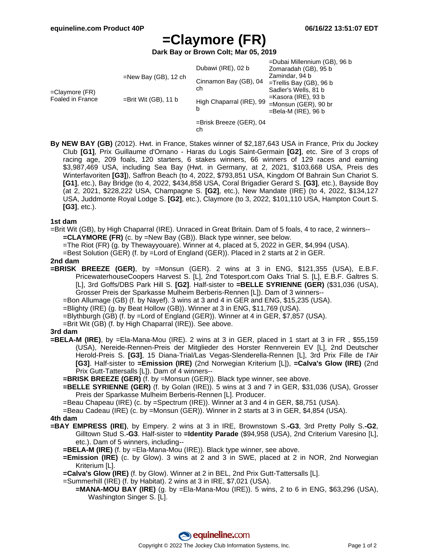# **=Claymore (FR)**

**Dark Bay or Brown Colt; Mar 05, 2019**

| $=$ Claymore (FR)<br>Foaled in France | $=$ New Bay (GB), 12 ch<br>$=$ Brit Wit (GB), 11 b | Dubawi (IRE), 02 b<br>Cinnamon Bay (GB), 04<br>ch<br>High Chaparral (IRE), 99<br>b | =Dubai Millennium (GB), 96 b<br>Zomaradah (GB), 95 b<br>Zamindar, 94 b<br>=Trellis Bay (GB), 96 b<br>Sadler's Wells, 81 b<br>$=$ Kasora (IRE), 93 b<br>$=$ Monsun (GER), 90 br<br>$=$ Bela-M (IRE), 96 b |
|---------------------------------------|----------------------------------------------------|------------------------------------------------------------------------------------|----------------------------------------------------------------------------------------------------------------------------------------------------------------------------------------------------------|
|                                       |                                                    | $=$ Brisk Breeze (GER), 04<br>ch                                                   |                                                                                                                                                                                                          |

**By NEW BAY (GB)** (2012). Hwt. in France, Stakes winner of \$2,187,643 USA in France, Prix du Jockey Club **[G1]**, Prix Guillaume d'Ornano - Haras du Logis Saint-Germain **[G2]**, etc. Sire of 3 crops of racing age, 209 foals, 120 starters, 6 stakes winners, 66 winners of 129 races and earning \$3,987,469 USA, including Sea Bay (Hwt. in Germany, at 2, 2021, \$103,668 USA, Preis des Winterfavoriten **[G3]**), Saffron Beach (to 4, 2022, \$793,851 USA, Kingdom Of Bahrain Sun Chariot S. **[G1]**, etc.), Bay Bridge (to 4, 2022, \$434,858 USA, Coral Brigadier Gerard S. **[G3]**, etc.), Bayside Boy (at 2, 2021, \$228,222 USA, Champagne S. **[G2]**, etc.), New Mandate (IRE) (to 4, 2022, \$134,127 USA, Juddmonte Royal Lodge S. **[G2]**, etc.), Claymore (to 3, 2022, \$101,110 USA, Hampton Court S. **[G3]**, etc.).

#### **1st dam**

- =Brit Wit (GB), by High Chaparral (IRE). Unraced in Great Britain. Dam of 5 foals, 4 to race, 2 winners-- **=CLAYMORE (FR)** (c. by =New Bay (GB)). Black type winner, see below.
	- =The Riot (FR) (g. by Thewayyouare). Winner at 4, placed at 5, 2022 in GER, \$4,994 (USA).

=Best Solution (GER) (f. by =Lord of England (GER)). Placed in 2 starts at 2 in GER.

### **2nd dam**

**=BRISK BREEZE (GER)**, by =Monsun (GER). 2 wins at 3 in ENG, \$121,355 (USA), E.B.F. PricewaterhouseCoopers Harvest S. [L], 2nd Totesport.com Oaks Trial S. [L], E.B.F. Galtres S. [L], 3rd Goffs/DBS Park Hill S. **[G2]**. Half-sister to **=BELLE SYRIENNE (GER)** (\$31,036 (USA), Grosser Preis der Sparkasse Mulheim Berberis-Rennen [L]). Dam of 3 winners--

=Bon Allumage (GB) (f. by Nayef). 3 wins at 3 and 4 in GER and ENG, \$15,235 (USA).

=Blighty (IRE) (g. by Beat Hollow (GB)). Winner at 3 in ENG, \$11,769 (USA).

=Blythburgh (GB) (f. by =Lord of England (GER)). Winner at 4 in GER, \$7,857 (USA).

=Brit Wit (GB) (f. by High Chaparral (IRE)). See above.

#### **3rd dam**

- **=BELA-M (IRE)**, by =Ela-Mana-Mou (IRE). 2 wins at 3 in GER, placed in 1 start at 3 in FR , \$55,159 (USA), Nereide-Rennen-Preis der Mitglieder des Horster Rennverein EV [L], 2nd Deutscher Herold-Preis S. **[G3]**, 15 Diana-Trial/Las Vegas-Slenderella-Rennen [L], 3rd Prix Fille de l'Air **[G3]**. Half-sister to **=Emission (IRE)** (2nd Norwegian Kriterium [L]), **=Calva's Glow (IRE)** (2nd Prix Gutt-Tattersalls [L]). Dam of 4 winners--
	- **=BRISK BREEZE (GER)** (f. by =Monsun (GER)). Black type winner, see above.
	- **=BELLE SYRIENNE (GER)** (f. by Golan (IRE)). 5 wins at 3 and 7 in GER, \$31,036 (USA), Grosser Preis der Sparkasse Mulheim Berberis-Rennen [L]. Producer.
	- =Beau Chapeau (IRE) (c. by =Spectrum (IRE)). Winner at 3 and 4 in GER, \$8,751 (USA).
	- =Beau Cadeau (IRE) (c. by =Monsun (GER)). Winner in 2 starts at 3 in GER, \$4,854 (USA).

### **4th dam**

- **=BAY EMPRESS (IRE)**, by Empery. 2 wins at 3 in IRE, Brownstown S.**-G3**, 3rd Pretty Polly S.**-G2**, Gilltown Stud S.**-G3**. Half-sister to **=Identity Parade** (\$94,958 (USA), 2nd Criterium Varesino [L], etc.). Dam of 5 winners, including--
	- **=BELA-M (IRE)** (f. by =Ela-Mana-Mou (IRE)). Black type winner, see above.
	- **=Emission (IRE)** (c. by Glow). 3 wins at 2 and 3 in SWE, placed at 2 in NOR, 2nd Norwegian Kriterium [L].
	- **=Calva's Glow (IRE)** (f. by Glow). Winner at 2 in BEL, 2nd Prix Gutt-Tattersalls [L].
	- =Summerhill (IRE) (f. by Habitat). 2 wins at 3 in IRE, \$7,021 (USA).
		- **=MANA-MOU BAY (IRE)** (g. by =Ela-Mana-Mou (IRE)). 5 wins, 2 to 6 in ENG, \$63,296 (USA), Washington Singer S. [L].